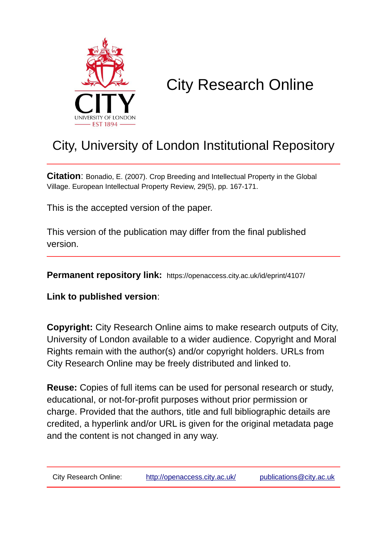

# City Research Online

# City, University of London Institutional Repository

**Citation**: Bonadio, E. (2007). Crop Breeding and Intellectual Property in the Global Village. European Intellectual Property Review, 29(5), pp. 167-171.

This is the accepted version of the paper.

This version of the publication may differ from the final published version.

**Permanent repository link:** https://openaccess.city.ac.uk/id/eprint/4107/

**Link to published version**:

**Copyright:** City Research Online aims to make research outputs of City, University of London available to a wider audience. Copyright and Moral Rights remain with the author(s) and/or copyright holders. URLs from City Research Online may be freely distributed and linked to.

**Reuse:** Copies of full items can be used for personal research or study, educational, or not-for-profit purposes without prior permission or charge. Provided that the authors, title and full bibliographic details are credited, a hyperlink and/or URL is given for the original metadata page and the content is not changed in any way.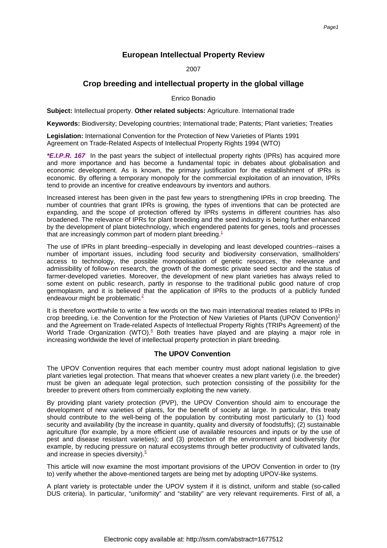# **European Intellectual Property Review**

2007

# **Crop breeding and intellectual property in the global village**

Enrico Bonadio

**Subject:** Intellectual property. **Other related subjects:** Agriculture. International trade

**Keywords:** Biodiversity; Developing countries; International trade; Patents; Plant varieties; Treaties

**Legislation:** International Convention for the Protection of New Varieties of Plants 1991 Agreement on Trade-Related Aspects of Intellectual Property Rights 1994 (WTO)

**\*E.I.P.R. 167** In the past years the subject of intellectual property rights (IPRs) has acquired more and more importance and has become a fundamental topic in debates about globalisation and economic development. As is known, the primary justification for the establishment of IPRs is economic. By offering a temporary monopoly for the commercial exploitation of an innovation, IPRs tend to provide an incentive for creative endeavours by inventors and authors.

Increased interest has been given in the past few years to strengthening IPRs in crop breeding. The number of countries that grant IPRs is growing, the types of inventions that can be protected are expanding, and the scope of protection offered by IPRs systems in different countries has also broadened. The relevance of IPRs for plant breeding and the seed industry is being further enhanced by the development of plant biotechnology, which engendered patents for genes, tools and processes that are increasingly common part of modern plant breeding[.](#page-5-0) $<sup>1</sup>$ </sup>

The use of IPRs in plant breeding--especially in developing and least developed countries--raises a number of important issues, including food security and biodiversity conservation, smallholders' access to technology, the possible monopolisation of genetic resources, the relevance and admissibility of follow-on research, the growth of the domestic private seed sector and the status of farmer-developed varieties. Moreover, the development of new plant varieties has always relied to some extent on public research, partly in response to the traditional public good nature of crop germoplasm, and it is believed that the application of IPRs to the products of a publicly funded endeavour might be problematic[.](#page-5-1) $2^2$ 

It is therefore worthwhile to write a few words on the two main international treaties related to IPRs in crop breeding, i.e. the Convention for the Protection of New Varieties of Plants (UPOV Convention[\)](#page-5-2) $3$ and the Agreement on Trade-related Aspects of Intellectual Property Rights (TRIPs Agreement) of the World Trade Organization (WTO)[.](#page-5-3)<sup>4</sup> Both treaties have played and are playing a major role in increasing worldwide the level of intellectual property protection in plant breeding.

# **The UPOV Convention**

The UPOV Convention requires that each member country must adopt national legislation to give plant varieties legal protection. That means that whoever creates a new plant variety (i.e. the breeder) must be given an adequate legal protection, such protection consisting of the possibility for the breeder to prevent others from commercially exploiting the new variety.

By providing plant variety protection (PVP), the UPOV Convention should aim to encourage the development of new varieties of plants, for the benefit of society at large. In particular, this treaty should contribute to the well-being of the population by contributing most particularly to (1) food security and availability (by the increase in quantity, quality and diversity of foodstuffs); (2) sustainable agriculture (for example, by a more efficient use of available resources and inputs or by the use of pest and disease resistant varieties); and (3) protection of the environment and biodiversity (for example, by reducing pressure on natural ecosystems through better productivity of cultivated lands, and increase in species diversity[\).](#page-5-4) $5$ 

This article will now examine the most important provisions of the UPOV Convention in order to (try to) verify whether the above-mentioned targets are being met by adopting UPOV-like systems.

A plant variety is protectable under the UPOV system if it is distinct, uniform and stable (so-called DUS criteria). In particular, "uniformity" and "stability" are very relevant requirements. First of all, a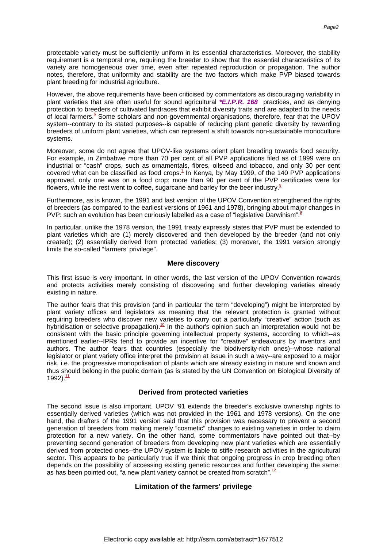However, the above requirements have been criticised by commentators as discouraging variability in plant varieties that are often useful for sound agricultural **\*E.I.P.R. 168** practices, and as denying protection to breeders of cultivated landraces that exhibit diversity traits and are adapted to the needs of local farmer[s.](#page-5-5)<sup>6</sup> Some scholars and non-governmental organisations, therefore, fear that the UPOV system--contrary to its stated purposes--is capable of reducing plant genetic diversity by rewarding breeders of uniform plant varieties, which can represent a shift towards non-sustainable monoculture systems.

plant breeding for industrial agriculture.

Moreover, some do not agree that UPOV-like systems orient plant breeding towards food security. For example, in Zimbabwe more than 70 per cent of all PVP applications filed as of 1999 were on industrial or "cash" crops, such as ornamentals, fibres, oilseed and tobacco, and only 30 per cent covered what can be classified as food crops[.](#page-6-0)<sup>7</sup> In Kenya, by May 1999, of the 140 PVP applications approved, only one was on a food crop: more than 90 per cent of the PVP certificates were for flowers, while the rest went to coffee, sugarcane and barley for the beer industry[.](#page-6-1) $8$ 

Furthermore, as is known, the 1991 and last version of the UPOV Convention strengthened the rights of breeders (as compared to the earliest versions of 1961 and 1978), bringing about major changes in PVP: such an evolution has been curiously labelled as a case of "legislative Darwinism[".](#page-6-2)

In particular, unlike the 1978 version, the 1991 treaty expressly states that PVP must be extended to plant varieties which are (1) merely discovered and then developed by the breeder (and not only created); (2) essentially derived from protected varieties; (3) moreover, the 1991 version strongly limits the so-called "farmers' privilege".

## **Mere discovery**

This first issue is very important. In other words, the last version of the UPOV Convention rewards and protects activities merely consisting of discovering and further developing varieties already existing in nature.

The author fears that this provision (and in particular the term "developing") might be interpreted by plant variety offices and legislators as meaning that the relevant protection is granted without requiring breeders who discover new varieties to carry out a particularly "creative" action (such as hybridisation or selective propagation)[.](#page-6-3)<sup>10</sup> In the author's opinion such an interpretation would not be consistent with the basic principle governing intellectual property systems, according to which--as mentioned earlier--IPRs tend to provide an incentive for "creative" endeavours by inventors and authors. The author fears that countries (especially the biodiversity-rich ones)--whose national legislator or plant variety office interpret the provision at issue in such a way--are exposed to a major risk, i.e. the progressive monopolisation of plants which are already existing in nature and known and thus should belong in the public domain (as is stated by the UN Convention on Biological Diversity of 1992). $\frac{11}{1}$  $\frac{11}{1}$  $\frac{11}{1}$ 

# **Derived from protected varieties**

The second issue is also important. UPOV '91 extends the breeder's exclusive ownership rights to essentially derived varieties (which was not provided in the 1961 and 1978 versions). On the one hand, the drafters of the 1991 version said that this provision was necessary to prevent a second generation of breeders from making merely "cosmetic" changes to existing varieties in order to claim protection for a new variety. On the other hand, some commentators have pointed out that--by preventing second generation of breeders from developing new plant varieties which are essentially derived from protected ones--the UPOV system is liable to stifle research activities in the agricultural sector. This appears to be particularly true if we think that ongoing progress in crop breeding often depends on the possibility of accessing existing genetic resources and further developing the same: as has been pointed out, "a new plant variety cannot be created from scratch"[.](#page-6-5)<sup>12</sup>

# **Limitation of the farmers' privilege**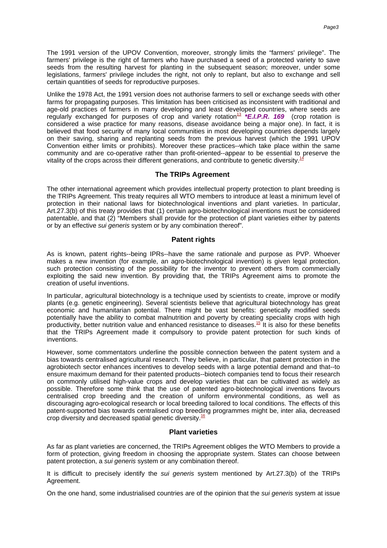The 1991 version of the UPOV Convention, moreover, strongly limits the "farmers' privilege". The farmers' privilege is the right of farmers who have purchased a seed of a protected variety to save seeds from the resulting harvest for planting in the subsequent season; moreover, under some legislations, farmers' privilege includes the right, not only to replant, but also to exchange and sell certain quantities of seeds for reproductive purposes.

Unlike the 1978 Act, the 1991 version does not authorise farmers to sell or exchange seeds with other farms for propagating purposes. This limitation has been criticised as inconsistent with traditional and age-old practices of farmers in many developing and least developed countries, where seeds are regularly excha[n](#page-6-6)ged for purposes of crop and variety rotation<sup>13</sup> **\*E.I.P.R. 169** (crop rotation is considered a wise practice for many reasons, disease avoidance being a major one). In fact, it is believed that food security of many local communities in most developing countries depends largely on their saving, sharing and replanting seeds from the previous harvest (which the 1991 UPOV Convention either limits or prohibits). Moreover these practices--which take place within the same community and are co-operative rather than profit-oriented--appear to be essential to preserve the vitality of the crops across their different generations, and contribute to genetic diversity[.](#page-6-7)<sup>14</sup>

## **The TRIPs Agreement**

The other international agreement which provides intellectual property protection to plant breeding is the TRIPs Agreement. This treaty requires all WTO members to introduce at least a minimum level of protection in their national laws for biotechnological inventions and plant varieties. In particular, Art.27.3(b) of this treaty provides that (1) certain agro-biotechnological inventions must be considered patentable, and that (2) "Members shall provide for the protection of plant varieties either by patents or by an effective sui generis system or by any combination thereof".

## **Patent rights**

As is known, patent rights--being IPRs--have the same rationale and purpose as PVP. Whoever makes a new invention (for example, an agro-biotechnological invention) is given legal protection, such protection consisting of the possibility for the inventor to prevent others from commercially exploiting the said new invention. By providing that, the TRIPs Agreement aims to promote the creation of useful inventions.

In particular, agricultural biotechnology is a technique used by scientists to create, improve or modify plants (e.g. genetic engineering). Several scientists believe that agricultural biotechnology has great economic and humanitarian potential. There might be vast benefits: genetically modified seeds potentially have the ability to combat malnutrition and poverty by creating speciality crops with high productivity, better nutrition value and enhanced resistance to disease[s.](#page-6-8)<sup>15</sup> It is also for these benefits that the TRIPs Agreement made it compulsory to provide patent protection for such kinds of inventions.

However, some commentators underline the possible connection between the patent system and a bias towards centralised agricultural research. They believe, in particular, that patent protection in the agrobiotech sector enhances incentives to develop seeds with a large potential demand and that--to ensure maximum demand for their patented products--biotech companies tend to focus their research on commonly utilised high-value crops and develop varieties that can be cultivated as widely as possible. Therefore some think that the use of patented agro-biotechnological inventions favours centralised crop breeding and the creation of uniform environmental conditions, as well as discouraging agro-ecological research or local breeding tailored to local conditions. The effects of this patent-supported bias towards centralised crop breeding programmes might be, inter alia, decreased crop diversity and decreased spatial genetic diversity[.](#page-6-9)<sup>16</sup>

#### **Plant varieties**

As far as plant varieties are concerned, the TRIPs Agreement obliges the WTO Members to provide a form of protection, giving freedom in choosing the appropriate system. States can choose between patent protection, a *sui generis* system or any combination thereof.

It is difficult to precisely identify the sui generis system mentioned by Art.27.3(b) of the TRIPs Agreement.

On the one hand, some industrialised countries are of the opinion that the sui generis system at issue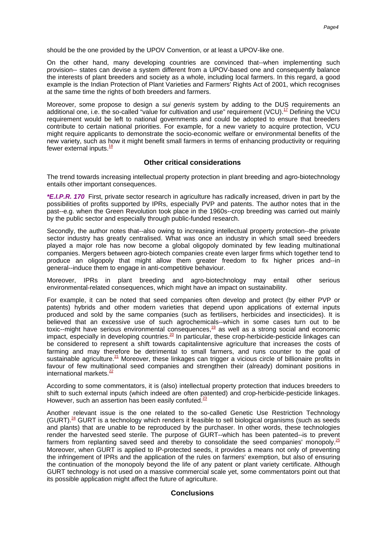should be the one provided by the UPOV Convention, or at least a UPOV-like one.

On the other hand, many developing countries are convinced that--when implementing such provision-- states can devise a system different from a UPOV-based one and consequently balance the interests of plant breeders and society as a whole, including local farmers. In this regard, a good example is the Indian Protection of Plant Varieties and Farmers' Rights Act of 2001, which recognises at the same time the rights of both breeders and farmers.

Moreover, some propose to design a sui generis system by adding to the DUS requirements an additional one, i.e. the so-called "value for cultivation and use" requirement (VCU[\).](#page-6-10)<sup>17</sup> Defining the VCU requirement would be left to national governments and could be adopted to ensure that breeders contribute to certain national priorities. For example, for a new variety to acquire protection, VCU might require applicants to demonstrate the socio-economic welfare or environmental benefits of the new variety, such as how it might benefit small farmers in terms of enhancing productivity or requiring fewer external input[s.](#page-6-11) $^{18}$ 

# **Other critical considerations**

The trend towards increasing intellectual property protection in plant breeding and agro-biotechnology entails other important consequences.

**\*E.I.P.R. 170** First, private sector research in agriculture has radically increased, driven in part by the possibilities of profits supported by IPRs, especially PVP and patents. The author notes that in the past--e.g. when the Green Revolution took place in the 1960s--crop breeding was carried out mainly by the public sector and especially through public-funded research.

Secondly, the author notes that--also owing to increasing intellectual property protection--the private sector industry has greatly centralised. What was once an industry in which small seed breeders played a major role has now become a global oligopoly dominated by few leading multinational companies. Mergers between agro-biotech companies create even larger firms which together tend to produce an oligopoly that might allow them greater freedom to fix higher prices and--in general--induce them to engage in anti-competitive behaviour.

Moreover, IPRs in plant breeding and agro-biotechnology may entail other serious environmental-related consequences, which might have an impact on sustainability.

For example, it can be noted that seed companies often develop and protect (by either PVP or patents) hybrids and other modern varieties that depend upon applications of external inputs produced and sold by the same companies (such as fertilisers, herbicides and insecticides). It is believed that an excessive use of such agrochemicals--which in some cases turn out to be toxic--might have serious environmental consequence[s,](#page-6-12) $19$  as well as a strong social and economic impact, especially in developing countries[.](#page-6-13)<sup>20</sup> In particular, these crop-herbicide-pesticide linkages can be considered to represent a shift towards capitalintensive agriculture that increases the costs of farming and may therefore be detrimental to small farmers, and runs counter to the goal of sustainable agriculture[.](#page-6-14)<sup>21</sup> Moreover, these linkages can trigger a vicious circle of billionaire profits in favour of few multinational seed companies and strengthen their (already) dominant positions in international markets[.](#page-6-15) $\frac{22}{3}$ 

According to some commentators, it is (also) intellectual property protection that induces breeders to shift to such external inputs (which indeed are often patented) and crop-herbicide-pesticide linkages. However, such an assertion has been easily confuted[.](#page-6-16) $^{23}$ 

Another relevant issue is the one related to the so-called Genetic Use Restriction Technology  $(GURT).^{24}$  $(GURT).^{24}$  $(GURT).^{24}$  GURT is a technology which renders it feasible to sell biological organisms (such as seeds and plants) that are unable to be reproduced by the purchaser. In other words, these technologies render the harvested seed sterile. The purpose of GURT--which has been patented--is to prevent farmers from replanting saved seed and thereby to consolidate the seed companies' monopol[y.](#page-6-18) $\frac{25}{5}$ Moreover, when GURT is applied to IP-protected seeds, it provides a means not only of preventing the infringement of IPRs and the application of the rules on farmers' exemption, but also of ensuring the continuation of the monopoly beyond the life of any patent or plant variety certificate. Although GURT technology is not used on a massive commercial scale yet, some commentators point out that its possible application might affect the future of agriculture.

# **Conclusions**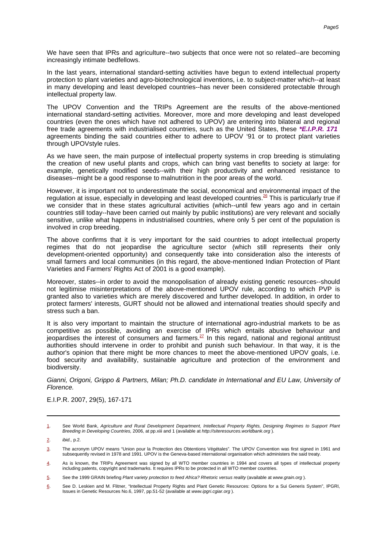We have seen that IPRs and agriculture--two subjects that once were not so related--are becoming increasingly intimate bedfellows.

In the last years, international standard-setting activities have begun to extend intellectual property protection to plant varieties and agro-biotechnological inventions, i.e. to subject-matter which--at least in many developing and least developed countries--has never been considered protectable through intellectual property law.

The UPOV Convention and the TRIPs Agreement are the results of the above-mentioned international standard-setting activities. Moreover, more and more developing and least developed countries (even the ones which have not adhered to UPOV) are entering into bilateral and regional free trade agreements with industrialised countries, such as the United States, these **\*E.I.P.R. 171** agreements binding the said countries either to adhere to UPOV '91 or to protect plant varieties through UPOVstyle rules.

As we have seen, the main purpose of intellectual property systems in crop breeding is stimulating the creation of new useful plants and crops, which can bring vast benefits to society at large: for example, genetically modified seeds--with their high productivity and enhanced resistance to diseases--might be a good response to malnutrition in the poor areas of the world.

However, it is important not to underestimate the social, economical and environmental impact of the regulation at issue, especially in developing and least developed countries[.](#page-6-19)<sup>26</sup> This is particularly true if we consider that in these states agricultural activities (which--until few years ago and in certain countries still today--have been carried out mainly by public institutions) are very relevant and socially sensitive, unlike what happens in industrialised countries, where only 5 per cent of the population is involved in crop breeding.

The above confirms that it is very important for the said countries to adopt intellectual property regimes that do not jeopardise the agriculture sector (which still represents their only development-oriented opportunity) and consequently take into consideration also the interests of small farmers and local communities (in this regard, the above-mentioned Indian Protection of Plant Varieties and Farmers' Rights Act of 2001 is a good example).

Moreover, states--in order to avoid the monopolisation of already existing genetic resources--should not legitimise misinterpretations of the above-mentioned UPOV rule, according to which PVP is granted also to varieties which are merely discovered and further developed. In addition, in order to protect farmers' interests, GURT should not be allowed and international treaties should specify and stress such a ban.

It is also very important to maintain the structure of international agro-industrial markets to be as competitive as possible, avoiding an exercise of IPRs which entails abusive behaviour and jeopardises the interest of consumers and farmer[s.](#page-6-20)<sup>27</sup> In this regard, national and regional antitrust authorities should intervene in order to prohibit and punish such behaviour. In that way, it is the author's opinion that there might be more chances to meet the above-mentioned UPOV goals, i.e. food security and availability, sustainable agriculture and protection of the environment and biodiversity.

Gianni, Origoni, Grippo & Partners, Milan; Ph.D. candidate in International and EU Law, University of Florence.

E.I.P.R. 2007, 29(5), 167-171

<span id="page-5-0"></span>[<sup>1.</sup>](#page--1-0) See World Bank, Agriculture and Rural Development Department, Intellectual Property Rights, Designing Regimes to Support Plant Breeding in Developing Countries, 2006, at pp.xiii and 1 (available at http://siteresources.worldbank.org).

<span id="page-5-1"></span>[<sup>2.</sup>](#page--1-0) ibid., p.2.

<span id="page-5-2"></span>[<sup>3.</sup>](#page--1-0) The acronym UPOV means "Union pour la Protection des Obtentions Végétales". The UPOV Convention was first signed in 1961 and subsequently revised in 1978 and 1991. UPOV is the Geneva-based international organisation which administers the said treaty.

<span id="page-5-3"></span>[<sup>4.</sup>](#page--1-0) As is known, the TRIPs Agreement was signed by all WTO member countries in 1994 and covers all types of intellectual property<br>including patents, copyright and trademarks. It requires IPRs to be protected in all WTO memb

<span id="page-5-4"></span>[<sup>5.</sup>](#page--1-0) See the 1999 GRAIN briefing Plant variety protection to feed Africa? Rhetoric versus reality (available at www.grain.org ).

<span id="page-5-5"></span>[<sup>6.</sup>](#page--1-0) See D. Leskien and M. Flitner, "Intellectual Property Rights and Plant Genetic Resources: Options for a Sui Generis System", IPGRI, Issues in Genetic Resources No.6, 1997, pp.51-52 (available at www.ipgri.cgiar.org ).